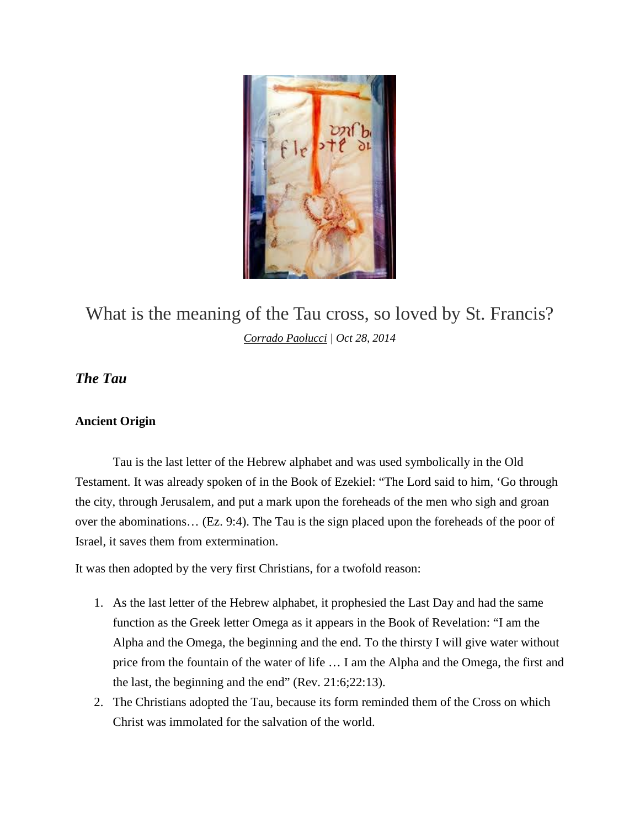

What is the meaning of the Tau cross, so loved by St. Francis? *[Corrado Paolucci](https://aleteia.org/author/corrado-paolucci/) | Oct 28, 2014* 

# *The Tau*

#### **Ancient Origin**

Tau is the last letter of the Hebrew alphabet and was used symbolically in the Old Testament. It was already spoken of in the Book of Ezekiel: "The Lord said to him, 'Go through the city, through Jerusalem, and put a mark upon the foreheads of the men who sigh and groan over the abominations… (Ez. 9:4). The Tau is the sign placed upon the foreheads of the poor of Israel, it saves them from extermination.

It was then adopted by the very first Christians, for a twofold reason:

- 1. As the last letter of the Hebrew alphabet, it prophesied the Last Day and had the same function as the Greek letter Omega as it appears in the Book of Revelation: "I am the Alpha and the Omega, the beginning and the end. To the thirsty I will give water without price from the fountain of the water of life … I am the Alpha and the Omega, the first and the last, the beginning and the end" (Rev. 21:6;22:13).
- 2. The Christians adopted the Tau, because its form reminded them of the Cross on which Christ was immolated for the salvation of the world.